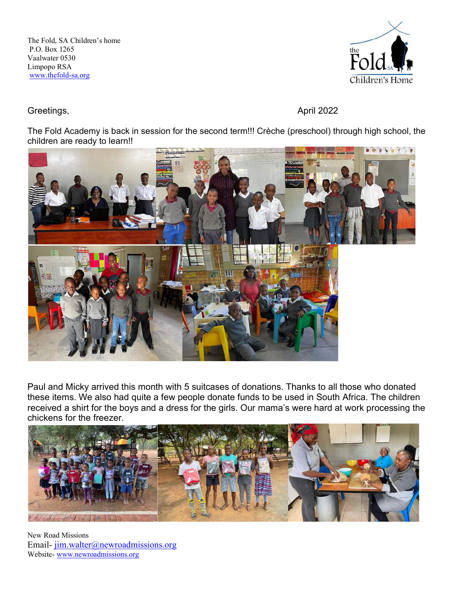The Fold, SA Children's home P.O. Box 1265 Vaalwater 0530 Limpopo RSA www.thefold-sa.org



Greetings, **April 2022** 

The Fold Academy is back in session for the second term!!! Crèche (preschool) through high school, the children are ready to learn!!



Paul and Micky arrived this month with 5 suitcases of donations. Thanks to all those who donated these items. We also had quite a few people donate funds to be used in South Africa. The children received a shirt for the boys and a dress for the girls. Our mama's were hard at work processing the chickens for the freezer.



New Road Missions Email- jim.walter@newroadmissions.org Website- www.newroadmissions.org